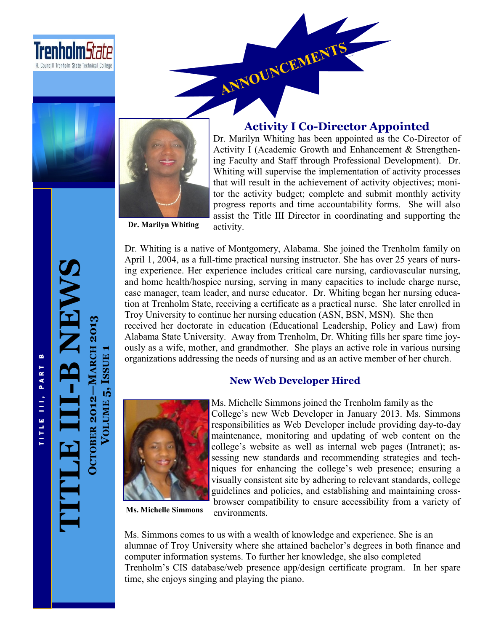



### **Activity I Co-Director Appointed**

Dr. Marilyn Whiting has been appointed as the Co-Director of Activity I (Academic Growth and Enhancement & Strengthening Faculty and Staff through Professional Development). Dr. Whiting will supervise the implementation of activity processes that will result in the achievement of activity objectives; monitor the activity budget; complete and submit monthly activity progress reports and time accountability forms. She will also assist the Title III Director in coordinating and supporting the activity.

**Dr. Marilyn Whiting**

Dr. Whiting is a native of Montgomery, Alabama. She joined the Trenholm family on April 1, 2004, as a full-time practical nursing instructor. She has over 25 years of nursing experience. Her experience includes critical care nursing, cardiovascular nursing, and home health/hospice nursing, serving in many capacities to include charge nurse, case manager, team leader, and nurse educator. Dr. Whiting began her nursing education at Trenholm State, receiving a certificate as a practical nurse. She later enrolled in Troy University to continue her nursing education (ASN, BSN, MSN). She then received her doctorate in education (Educational Leadership, Policy and Law) from Alabama State University. Away from Trenholm, Dr. Whiting fills her spare time joyously as a wife, mother, and grandmother. She plays an active role in various nursing organizations addressing the needs of nursing and as an active member of her church.

#### **New Web Developer Hired**



**Ms. Michelle Simmons**

Ms. Michelle Simmons joined the Trenholm family as the College's new Web Developer in January 2013. Ms. Simmons responsibilities as Web Developer include providing day-to-day maintenance, monitoring and updating of web content on the college's website as well as internal web pages (Intranet); assessing new standards and recommending strategies and techniques for enhancing the college's web presence; ensuring a visually consistent site by adhering to relevant standards, college guidelines and policies, and establishing and maintaining crossbrowser compatibility to ensure accessibility from a variety of environments.

Ms. Simmons comes to us with a wealth of knowledge and experience. She is an alumnae of Troy University where she attained bachelor's degrees in both finance and computer information systems. To further her knowledge, she also completed Trenholm's CIS database/web presence app/design certificate program. In her spare time, she enjoys singing and playing the piano.

**TITLE III -B NEWS OCTOBER 2012 MARCH 2013**

**VOLUME 5, ISSUE**

**1**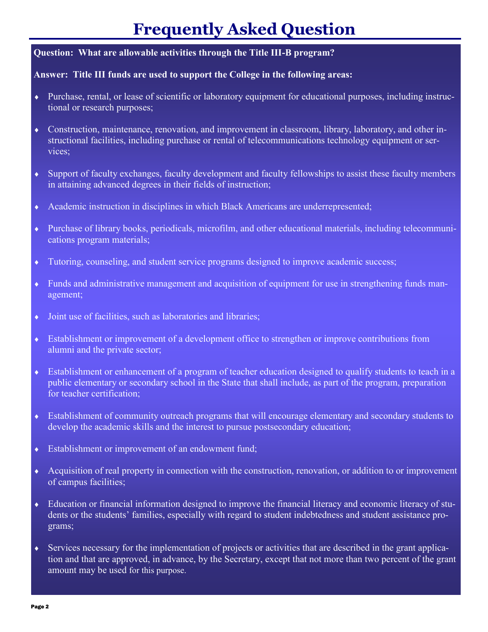## **Frequently Asked Question**

### **Question: What are allowable activities through the Title III-B program?**

#### **Answer: Title III funds are used to support the College in the following areas:**

- Purchase, rental, or lease of scientific or laboratory equipment for educational purposes, including instructional or research purposes;
- Construction, maintenance, renovation, and improvement in classroom, library, laboratory, and other instructional facilities, including purchase or rental of telecommunications technology equipment or services;
- Support of faculty exchanges, faculty development and faculty fellowships to assist these faculty members in attaining advanced degrees in their fields of instruction;
- Academic instruction in disciplines in which Black Americans are underrepresented;
- Purchase of library books, periodicals, microfilm, and other educational materials, including telecommunications program materials;
- Tutoring, counseling, and student service programs designed to improve academic success;
- Funds and administrative management and acquisition of equipment for use in strengthening funds management;
- $\bullet$  Joint use of facilities, such as laboratories and libraries;
- Establishment or improvement of a development office to strengthen or improve contributions from alumni and the private sector;
- Establishment or enhancement of a program of teacher education designed to qualify students to teach in a public elementary or secondary school in the State that shall include, as part of the program, preparation for teacher certification;
- Establishment of community outreach programs that will encourage elementary and secondary students to develop the academic skills and the interest to pursue postsecondary education;
- Establishment or improvement of an endowment fund;
- Acquisition of real property in connection with the construction, renovation, or addition to or improvement of campus facilities;
- Education or financial information designed to improve the financial literacy and economic literacy of students or the students' families, especially with regard to student indebtedness and student assistance programs;
- Services necessary for the implementation of projects or activities that are described in the grant application and that are approved, in advance, by the Secretary, except that not more than two percent of the grant amount may be used for this purpose.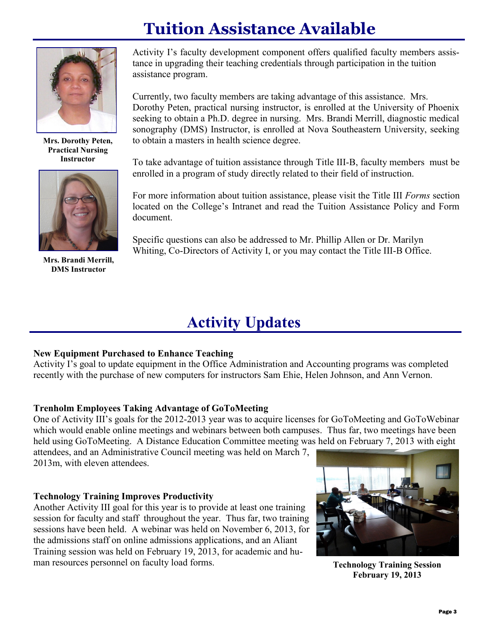# **Tuition Assistance Available**



**Mrs. Dorothy Peten, Practical Nursing Instructor**



**Mrs. Brandi Merrill, DMS Instructor**

Activity I's faculty development component offers qualified faculty members assistance in upgrading their teaching credentials through participation in the tuition assistance program.

Currently, two faculty members are taking advantage of this assistance. Mrs. Dorothy Peten, practical nursing instructor, is enrolled at the University of Phoenix seeking to obtain a Ph.D. degree in nursing. Mrs. Brandi Merrill, diagnostic medical sonography (DMS) Instructor, is enrolled at Nova Southeastern University, seeking to obtain a masters in health science degree.

To take advantage of tuition assistance through Title III-B, faculty members must be enrolled in a program of study directly related to their field of instruction.

For more information about tuition assistance, please visit the Title III *Forms* section located on the College's Intranet and read the Tuition Assistance Policy and Form document.

Specific questions can also be addressed to Mr. Phillip Allen or Dr. Marilyn Whiting, Co-Directors of Activity I, or you may contact the Title III-B Office.

### **Activity Updates**

### **New Equipment Purchased to Enhance Teaching**

Activity I's goal to update equipment in the Office Administration and Accounting programs was completed recently with the purchase of new computers for instructors Sam Ehie, Helen Johnson, and Ann Vernon.

### **Trenholm Employees Taking Advantage of GoToMeeting**

One of Activity III's goals for the 2012-2013 year was to acquire licenses for GoToMeeting and GoToWebinar which would enable online meetings and webinars between both campuses. Thus far, two meetings have been held using GoToMeeting. A Distance Education Committee meeting was held on February 7, 2013 with eight

attendees, and an Administrative Council meeting was held on March 7, 2013m, with eleven attendees.

### **Technology Training Improves Productivity**

Another Activity III goal for this year is to provide at least one training session for faculty and staff throughout the year. Thus far, two training sessions have been held. A webinar was held on November 6, 2013, for the admissions staff on online admissions applications, and an Aliant Training session was held on February 19, 2013, for academic and human resources personnel on faculty load forms.



**Technology Training Session February 19, 2013**